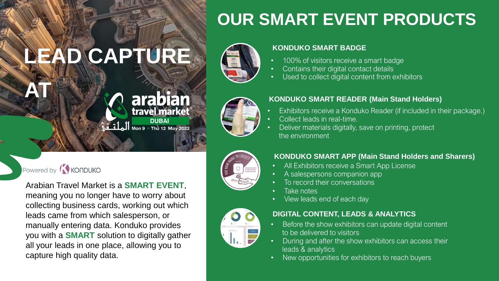# **LEAD CAPTURE**

### **arabian**<br>travel market<sup>®</sup> **DUBAI** Mon 9 Thu 12 May 2022

### Powered by **KONDUKO**

**AT**

Arabian Travel Market is a **SMART EVENT**, meaning you no longer have to worry about collecting business cards, working out which leads came from which salesperson, or manually entering data. Konduko provides you with a **SMART** solution to digitally gather all your leads in one place, allowing you to capture high quality data.

# **OUR SMART EVENT PRODUCTS**



### **KONDUKO SMART BADGE**

- 100% of visitors receive a smart badge
- Contains their digital contact details
- Used to collect digital content from exhibitors



- Exhibitors receive a Konduko Reader (if included in their package.)
- Collect leads in real-time.
- Deliver materials digitally, save on printing, protect the environment



### **KONDUKO SMART APP (Main Stand Holders and Sharers)**

- All Exhibitors receive a Smart App License
- A salespersons companion app
- To record their conversations
- Take notes
- View leads end of each day



- Before the show exhibitors can update digital content to be delivered to visitors
- During and after the show exhibitors can access their leads & analytics
- New opportunities for exhibitors to reach buyers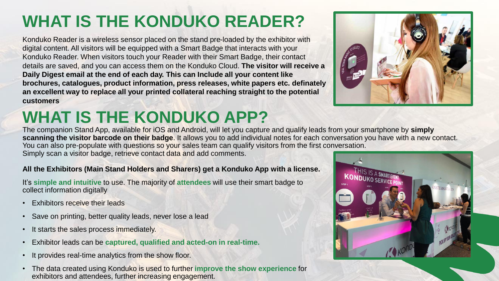# **WHAT IS THE KONDUKO READER?**

Konduko Reader is a wireless sensor placed on the stand pre-loaded by the exhibitor with digital content. All visitors will be equipped with a Smart Badge that interacts with your Konduko Reader. When visitors touch your Reader with their Smart Badge, their contact details are saved, and you can access them on the Konduko Cloud. **The visitor will receive a Daily Digest email at the end of each day. This can Include all your content like brochures, catalogues, product information, press releases, white papers etc. definately an excellent way to replace all your printed collateral reaching straight to the potential customers**

# **WHAT IS THE KONDUKO APP?**



The companion Stand App, available for iOS and Android, will let you capture and qualify leads from your smartphone by **simply scanning the visitor barcode on their badge**. It allows you to add individual notes for each conversation you have with a new contact. You can also pre-populate with questions so your sales team can qualify visitors from the first conversation. Simply scan a visitor badge, retrieve contact data and add comments.

### **All the Exhibitors (Main Stand Holders and Sharers) get a Konduko App with a license.**

It's **simple and intuitive** to use. The majority of **attendees** will use their smart badge to collect information digitally

- **Exhibitors receive their leads**
- Save on printing, better quality leads, never lose a lead
- It starts the sales process immediately.
- Exhibitor leads can be **captured, qualified and acted-on in real-time.**
- It provides real-time analytics from the show floor.
- The data created using Konduko is used to further **improve the show experience** for exhibitors and attendees, further increasing engagement.

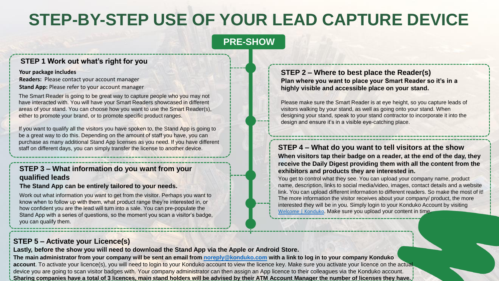## **STEP-BY-STEP USE OF YOUR LEAD CAPTURE DEVICE**

### **PRE-SHOW**

### **STEP 1 Work out what's right for you**

#### **Your package includes**

**Readers:** Please contact your account manager **Stand App:** Please refer to your account manager

The Smart Reader is going to be great way to capture people who you may not have interacted with. You will have your Smart Readers showcased in different areas of your stand. You can choose how you want to use the Smart Reader(s), either to promote your brand, or to promote specific product ranges.

If you want to qualify all the visitors you have spoken to, the Stand App is going to be a great way to do this. Depending on the amount of staff you have, you can purchase as many additional Stand App licenses as you need. If you have different staff on different days, you can simply transfer the license to another device.

### **STEP 3 – What information do you want from your qualified leads**

#### **The Stand App can be entirely tailored to your needs.**

Work out what information you want to get from the visitor. Perhaps you want to know when to follow up with them, what product range they're interested in, or how confident you are the lead will turn into a sale. You can pre-populate the Stand App with a series of questions, so the moment you scan a visitor's badge, you can qualify them.

#### **STEP 2 – Where to best place the Reader(s) Plan where you want to place your Smart Reader so it's in a highly visible and accessible place on your stand.**

Please make sure the Smart Reader is at eye height, so you capture leads of visitors walking by your stand, as well as going onto your stand. When designing your stand, speak to your stand contractor to incorporate it into the design and ensure it's in a visible eye-catching place.

### **STEP 4 – What do you want to tell visitors at the show**

**When visitors tap their badge on a reader, at the end of the day, they receive the Daily Digest providing them with all the content from the exhibitors and products they are interested in.** 

You get to control what they see. You can upload your company name, product name, description, links to social media/video, images, contact details and a website link. You can upload different information to different readers. So make the most of it! The more information the visitor receives about your company/ product, the more interested they will be in you. Simply login to your Konduko Account by visiting [Welcome | Konduko](https://exhibitors.konduko.com/login). Make sure you upload your content in time.

### **STEP 5 – Activate your Licence(s)**

**Lastly, before the show you will need to download the Stand App via the Apple or Android Store.** 

**The main administrator from your company will be sent an email from [noreply@konduko.com](mailto:noreply@konduko.com) with a link to log in to your company Konduko** account. To activate your licence(s), you will need to login to your Konduko account to view the licence key. Make sure you activate your licence on the actual device you are going to scan visitor badges with. Your company administrator can then assign an App licence to their colleagues via the Konduko account. **Sharing companies have a total of 3 licences, main stand holders will be advised by their ATM Account Manager the number of licenses they have.**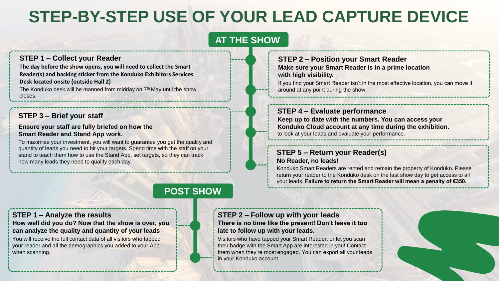## **STEP-BY-STEP USE OF YOUR LEAD CAPTURE DEVICE**

### **AT THE SHOW**

### **STEP 1 – Collect your Reader**

**The day before the show opens, you will need to collect the Smart Reader(s) and backing sticker from the Konduko Exhibitors Services Desk located onsite (outside Hall 2)** The Konduko desk will be manned from midday on 7<sup>th</sup> May until the show closes.

### **STEP 3 – Brief your staff**

**Ensure your staff are fully briefed on how the Smart Reader and Stand App work.**

To maximise your investment, you will want to guarantee you get the quality and quantity of leads you need to hit your targets. Spend time with the staff on your stand to teach them how to use the Stand App, set targets, so they can track how many leads they need to qualify each day.

### **STEP 2 – Position your Smart Reader Make sure your Smart Reader is in a prime location with high visibility.**

If you find your Smart Reader isn't in the most effective location, you can move it around at any point during the show.

### **STEP 4 – Evaluate performance**

**Keep up to date with the numbers. You can access your Konduko Cloud account at any time during the exhibition.** to look at your leads and evaluate your performance.

#### **STEP 5 – Return your Reader(s) No Reader, no leads!**

Konduko Smart Readers are rented and remain the property of Konduko. Please return your reader to the Konduko desk on the last show day to get access to all your leads. **Failure to return the Smart Reader will mean a penalty of €350.**

### **POST SHOW**

### **STEP 1 – Analyze the results**

**How well did you do? Now that the show is over, you can analyze the quality and quantity of your leads**

You will receive the full contact data of all visitors who tapped your reader and all the demographics you added to your App when scanning.

**STEP 2 – Follow up with your leads There is no time like the present! Don't leave it too late to follow up with your leads.**

Visitors who have tapped your Smart Reader, or let you scan their badge with the Smart App are interested in you! Contact them when they're most engaged. You can export all your leads in your Konduko account.